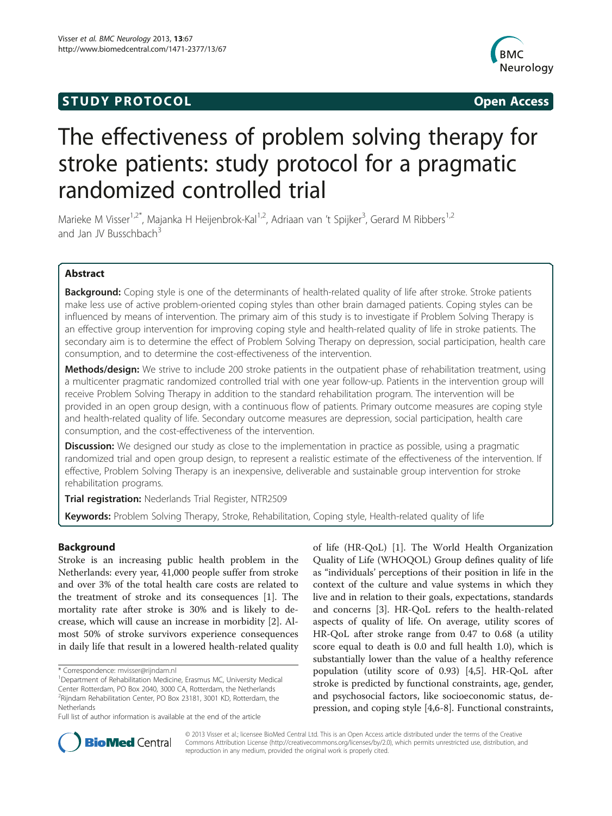## **STUDY PROTOCOL CONSUMING THE STUDY PROTOCOL**



# The effectiveness of problem solving therapy for stroke patients: study protocol for a pragmatic randomized controlled trial

Marieke M Visser<sup>1,2\*</sup>, Majanka H Heijenbrok-Kal<sup>1,2</sup>, Adriaan van 't Spijker<sup>3</sup>, Gerard M Ribbers<sup>1,2</sup> and Jan JV Busschbach<sup>3</sup>

## Abstract

**Background:** Coping style is one of the determinants of health-related quality of life after stroke. Stroke patients make less use of active problem-oriented coping styles than other brain damaged patients. Coping styles can be influenced by means of intervention. The primary aim of this study is to investigate if Problem Solving Therapy is an effective group intervention for improving coping style and health-related quality of life in stroke patients. The secondary aim is to determine the effect of Problem Solving Therapy on depression, social participation, health care consumption, and to determine the cost-effectiveness of the intervention.

Methods/design: We strive to include 200 stroke patients in the outpatient phase of rehabilitation treatment, using a multicenter pragmatic randomized controlled trial with one year follow-up. Patients in the intervention group will receive Problem Solving Therapy in addition to the standard rehabilitation program. The intervention will be provided in an open group design, with a continuous flow of patients. Primary outcome measures are coping style and health-related quality of life. Secondary outcome measures are depression, social participation, health care consumption, and the cost-effectiveness of the intervention.

**Discussion:** We designed our study as close to the implementation in practice as possible, using a pragmatic randomized trial and open group design, to represent a realistic estimate of the effectiveness of the intervention. If effective, Problem Solving Therapy is an inexpensive, deliverable and sustainable group intervention for stroke rehabilitation programs.

Trial registration: Nederlands Trial Register, [NTR2509](http://www.trialregister.nl/trialreg/admin/rctview.asp?TC=2509�)

Keywords: Problem Solving Therapy, Stroke, Rehabilitation, Coping style, Health-related quality of life

## Background

Stroke is an increasing public health problem in the Netherlands: every year, 41,000 people suffer from stroke and over 3% of the total health care costs are related to the treatment of stroke and its consequences [\[1](#page-5-0)]. The mortality rate after stroke is 30% and is likely to decrease, which will cause an increase in morbidity [\[2](#page-5-0)]. Almost 50% of stroke survivors experience consequences in daily life that result in a lowered health-related quality

of life (HR-QoL) [[1\]](#page-5-0). The World Health Organization Quality of Life (WHOQOL) Group defines quality of life as "individuals' perceptions of their position in life in the context of the culture and value systems in which they live and in relation to their goals, expectations, standards and concerns [[3\]](#page-5-0). HR-QoL refers to the health-related aspects of quality of life. On average, utility scores of HR-QoL after stroke range from 0.47 to 0.68 (a utility score equal to death is 0.0 and full health 1.0), which is substantially lower than the value of a healthy reference population (utility score of 0.93) [\[4,5](#page-5-0)]. HR-QoL after stroke is predicted by functional constraints, age, gender, and psychosocial factors, like socioeconomic status, depression, and coping style [\[4,6](#page-5-0)-[8\]](#page-5-0). Functional constraints,



© 2013 Visser et al.; licensee BioMed Central Ltd. This is an Open Access article distributed under the terms of the Creative Commons Attribution License [\(http://creativecommons.org/licenses/by/2.0\)](http://creativecommons.org/licenses/by/2.0), which permits unrestricted use, distribution, and reproduction in any medium, provided the original work is properly cited.

<sup>\*</sup> Correspondence: [mvisser@rijndam.nl](mailto:mvisser@rijndam.nl) <sup>1</sup>

<sup>&</sup>lt;sup>1</sup>Department of Rehabilitation Medicine, Erasmus MC, University Medical Center Rotterdam, PO Box 2040, 3000 CA, Rotterdam, the Netherlands <sup>2</sup>Rijndam Rehabilitation Center, PO Box 23181, 3001 KD, Rotterdam, the Netherlands

Full list of author information is available at the end of the article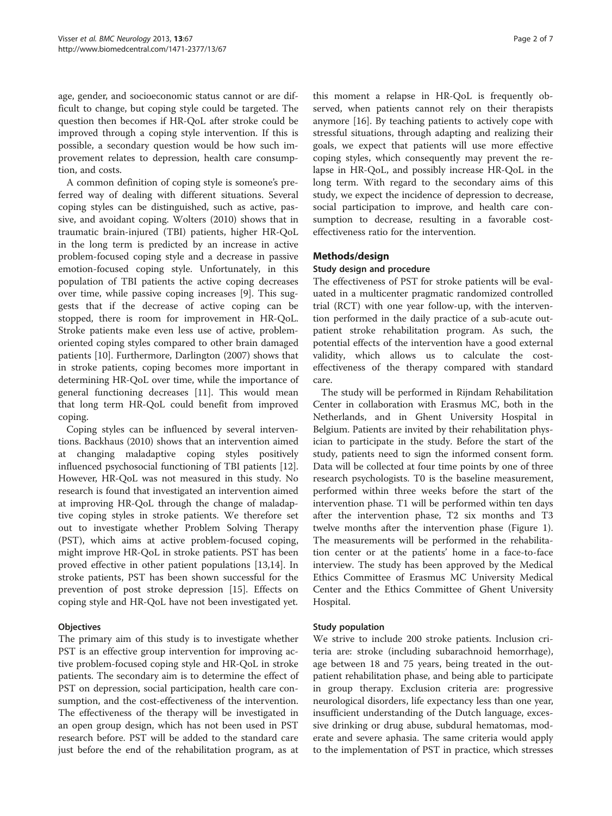age, gender, and socioeconomic status cannot or are difficult to change, but coping style could be targeted. The question then becomes if HR-QoL after stroke could be improved through a coping style intervention. If this is possible, a secondary question would be how such improvement relates to depression, health care consumption, and costs.

A common definition of coping style is someone's preferred way of dealing with different situations. Several coping styles can be distinguished, such as active, passive, and avoidant coping. Wolters (2010) shows that in traumatic brain-injured (TBI) patients, higher HR-QoL in the long term is predicted by an increase in active problem-focused coping style and a decrease in passive emotion-focused coping style. Unfortunately, in this population of TBI patients the active coping decreases over time, while passive coping increases [[9\]](#page-5-0). This suggests that if the decrease of active coping can be stopped, there is room for improvement in HR-QoL. Stroke patients make even less use of active, problemoriented coping styles compared to other brain damaged patients [\[10\]](#page-5-0). Furthermore, Darlington (2007) shows that in stroke patients, coping becomes more important in determining HR-QoL over time, while the importance of general functioning decreases [\[11](#page-5-0)]. This would mean that long term HR-QoL could benefit from improved coping.

Coping styles can be influenced by several interventions. Backhaus (2010) shows that an intervention aimed at changing maladaptive coping styles positively influenced psychosocial functioning of TBI patients [\[12](#page-5-0)]. However, HR-QoL was not measured in this study. No research is found that investigated an intervention aimed at improving HR-QoL through the change of maladaptive coping styles in stroke patients. We therefore set out to investigate whether Problem Solving Therapy (PST), which aims at active problem-focused coping, might improve HR-QoL in stroke patients. PST has been proved effective in other patient populations [[13,14\]](#page-5-0). In stroke patients, PST has been shown successful for the prevention of post stroke depression [\[15](#page-6-0)]. Effects on coping style and HR-QoL have not been investigated yet.

## **Objectives**

The primary aim of this study is to investigate whether PST is an effective group intervention for improving active problem-focused coping style and HR-QoL in stroke patients. The secondary aim is to determine the effect of PST on depression, social participation, health care consumption, and the cost-effectiveness of the intervention. The effectiveness of the therapy will be investigated in an open group design, which has not been used in PST research before. PST will be added to the standard care just before the end of the rehabilitation program, as at

this moment a relapse in HR-QoL is frequently observed, when patients cannot rely on their therapists anymore [[16\]](#page-6-0). By teaching patients to actively cope with stressful situations, through adapting and realizing their goals, we expect that patients will use more effective coping styles, which consequently may prevent the relapse in HR-QoL, and possibly increase HR-QoL in the long term. With regard to the secondary aims of this study, we expect the incidence of depression to decrease, social participation to improve, and health care consumption to decrease, resulting in a favorable costeffectiveness ratio for the intervention.

## Methods/design

## Study design and procedure

The effectiveness of PST for stroke patients will be evaluated in a multicenter pragmatic randomized controlled trial (RCT) with one year follow-up, with the intervention performed in the daily practice of a sub-acute outpatient stroke rehabilitation program. As such, the potential effects of the intervention have a good external validity, which allows us to calculate the costeffectiveness of the therapy compared with standard care.

The study will be performed in Rijndam Rehabilitation Center in collaboration with Erasmus MC, both in the Netherlands, and in Ghent University Hospital in Belgium. Patients are invited by their rehabilitation physician to participate in the study. Before the start of the study, patients need to sign the informed consent form. Data will be collected at four time points by one of three research psychologists. T0 is the baseline measurement, performed within three weeks before the start of the intervention phase. T1 will be performed within ten days after the intervention phase, T2 six months and T3 twelve months after the intervention phase (Figure [1](#page-2-0)). The measurements will be performed in the rehabilitation center or at the patients' home in a face-to-face interview. The study has been approved by the Medical Ethics Committee of Erasmus MC University Medical Center and the Ethics Committee of Ghent University Hospital.

## Study population

We strive to include 200 stroke patients. Inclusion criteria are: stroke (including subarachnoid hemorrhage), age between 18 and 75 years, being treated in the outpatient rehabilitation phase, and being able to participate in group therapy. Exclusion criteria are: progressive neurological disorders, life expectancy less than one year, insufficient understanding of the Dutch language, excessive drinking or drug abuse, subdural hematomas, moderate and severe aphasia. The same criteria would apply to the implementation of PST in practice, which stresses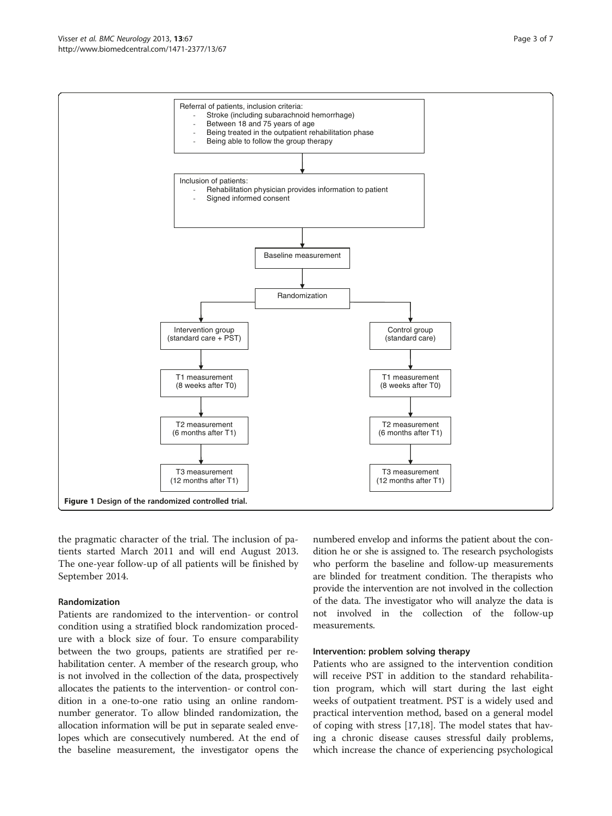<span id="page-2-0"></span>

the pragmatic character of the trial. The inclusion of patients started March 2011 and will end August 2013. The one-year follow-up of all patients will be finished by September 2014.

#### Randomization

Patients are randomized to the intervention- or control condition using a stratified block randomization procedure with a block size of four. To ensure comparability between the two groups, patients are stratified per rehabilitation center. A member of the research group, who is not involved in the collection of the data, prospectively allocates the patients to the intervention- or control condition in a one-to-one ratio using an online randomnumber generator. To allow blinded randomization, the allocation information will be put in separate sealed envelopes which are consecutively numbered. At the end of the baseline measurement, the investigator opens the

numbered envelop and informs the patient about the condition he or she is assigned to. The research psychologists who perform the baseline and follow-up measurements are blinded for treatment condition. The therapists who provide the intervention are not involved in the collection of the data. The investigator who will analyze the data is not involved in the collection of the follow-up measurements.

#### Intervention: problem solving therapy

Patients who are assigned to the intervention condition will receive PST in addition to the standard rehabilitation program, which will start during the last eight weeks of outpatient treatment. PST is a widely used and practical intervention method, based on a general model of coping with stress [[17,18\]](#page-6-0). The model states that having a chronic disease causes stressful daily problems, which increase the chance of experiencing psychological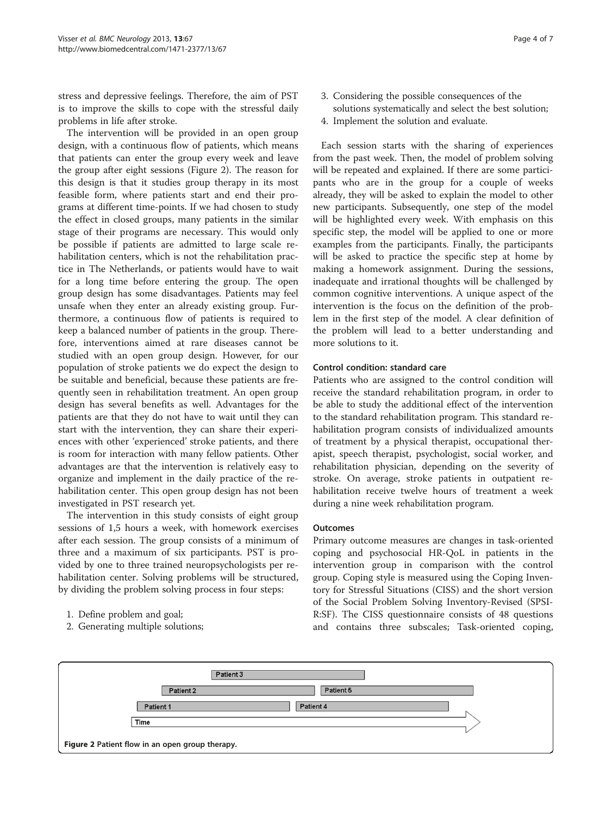stress and depressive feelings. Therefore, the aim of PST is to improve the skills to cope with the stressful daily problems in life after stroke.

The intervention will be provided in an open group design, with a continuous flow of patients, which means that patients can enter the group every week and leave the group after eight sessions (Figure 2). The reason for this design is that it studies group therapy in its most feasible form, where patients start and end their programs at different time-points. If we had chosen to study the effect in closed groups, many patients in the similar stage of their programs are necessary. This would only be possible if patients are admitted to large scale rehabilitation centers, which is not the rehabilitation practice in The Netherlands, or patients would have to wait for a long time before entering the group. The open group design has some disadvantages. Patients may feel unsafe when they enter an already existing group. Furthermore, a continuous flow of patients is required to keep a balanced number of patients in the group. Therefore, interventions aimed at rare diseases cannot be studied with an open group design. However, for our population of stroke patients we do expect the design to be suitable and beneficial, because these patients are frequently seen in rehabilitation treatment. An open group design has several benefits as well. Advantages for the patients are that they do not have to wait until they can start with the intervention, they can share their experiences with other 'experienced' stroke patients, and there is room for interaction with many fellow patients. Other advantages are that the intervention is relatively easy to organize and implement in the daily practice of the rehabilitation center. This open group design has not been investigated in PST research yet.

The intervention in this study consists of eight group sessions of 1,5 hours a week, with homework exercises after each session. The group consists of a minimum of three and a maximum of six participants. PST is provided by one to three trained neuropsychologists per rehabilitation center. Solving problems will be structured, by dividing the problem solving process in four steps:

- 1. Define problem and goal;
- 2. Generating multiple solutions;
- 3. Considering the possible consequences of the solutions systematically and select the best solution;
- 4. Implement the solution and evaluate.

Each session starts with the sharing of experiences from the past week. Then, the model of problem solving will be repeated and explained. If there are some participants who are in the group for a couple of weeks already, they will be asked to explain the model to other new participants. Subsequently, one step of the model will be highlighted every week. With emphasis on this specific step, the model will be applied to one or more examples from the participants. Finally, the participants will be asked to practice the specific step at home by making a homework assignment. During the sessions, inadequate and irrational thoughts will be challenged by common cognitive interventions. A unique aspect of the intervention is the focus on the definition of the problem in the first step of the model. A clear definition of the problem will lead to a better understanding and more solutions to it.

#### Control condition: standard care

Patients who are assigned to the control condition will receive the standard rehabilitation program, in order to be able to study the additional effect of the intervention to the standard rehabilitation program. This standard rehabilitation program consists of individualized amounts of treatment by a physical therapist, occupational therapist, speech therapist, psychologist, social worker, and rehabilitation physician, depending on the severity of stroke. On average, stroke patients in outpatient rehabilitation receive twelve hours of treatment a week during a nine week rehabilitation program.

#### **Outcomes**

Primary outcome measures are changes in task-oriented coping and psychosocial HR-QoL in patients in the intervention group in comparison with the control group. Coping style is measured using the Coping Inventory for Stressful Situations (CISS) and the short version of the Social Problem Solving Inventory-Revised (SPSI-R:SF). The CISS questionnaire consists of 48 questions and contains three subscales; Task-oriented coping,

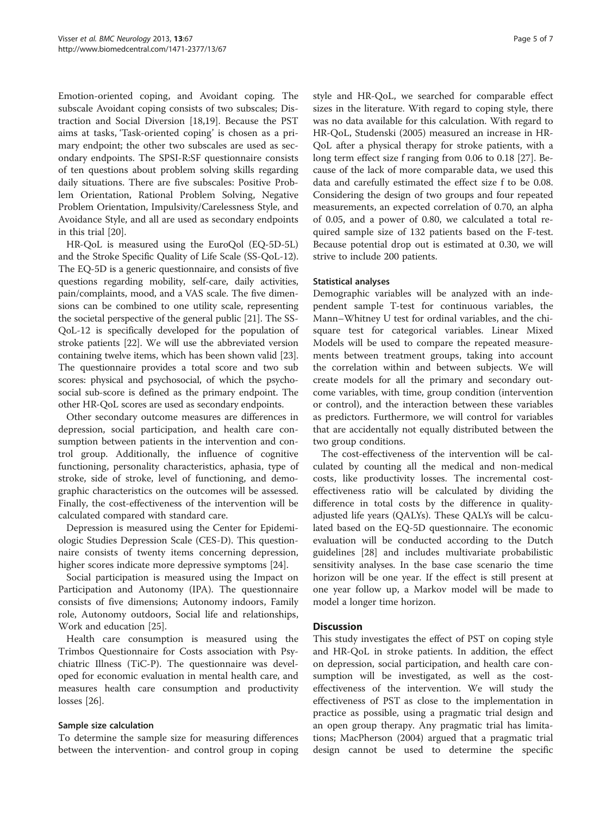Emotion-oriented coping, and Avoidant coping. The subscale Avoidant coping consists of two subscales; Distraction and Social Diversion [[18](#page-6-0),[19](#page-6-0)]. Because the PST aims at tasks, 'Task-oriented coping' is chosen as a primary endpoint; the other two subscales are used as secondary endpoints. The SPSI-R:SF questionnaire consists of ten questions about problem solving skills regarding daily situations. There are five subscales: Positive Problem Orientation, Rational Problem Solving, Negative Problem Orientation, Impulsivity/Carelessness Style, and Avoidance Style, and all are used as secondary endpoints in this trial [[20\]](#page-6-0).

HR-QoL is measured using the EuroQol (EQ-5D-5L) and the Stroke Specific Quality of Life Scale (SS-QoL-12). The EQ-5D is a generic questionnaire, and consists of five questions regarding mobility, self-care, daily activities, pain/complaints, mood, and a VAS scale. The five dimensions can be combined to one utility scale, representing the societal perspective of the general public [[21](#page-6-0)]. The SS-QoL-12 is specifically developed for the population of stroke patients [\[22](#page-6-0)]. We will use the abbreviated version containing twelve items, which has been shown valid [[23](#page-6-0)]. The questionnaire provides a total score and two sub scores: physical and psychosocial, of which the psychosocial sub-score is defined as the primary endpoint. The other HR-QoL scores are used as secondary endpoints.

Other secondary outcome measures are differences in depression, social participation, and health care consumption between patients in the intervention and control group. Additionally, the influence of cognitive functioning, personality characteristics, aphasia, type of stroke, side of stroke, level of functioning, and demographic characteristics on the outcomes will be assessed. Finally, the cost-effectiveness of the intervention will be calculated compared with standard care.

Depression is measured using the Center for Epidemiologic Studies Depression Scale (CES-D). This questionnaire consists of twenty items concerning depression, higher scores indicate more depressive symptoms [[24\]](#page-6-0).

Social participation is measured using the Impact on Participation and Autonomy (IPA). The questionnaire consists of five dimensions; Autonomy indoors, Family role, Autonomy outdoors, Social life and relationships, Work and education [\[25](#page-6-0)].

Health care consumption is measured using the Trimbos Questionnaire for Costs association with Psychiatric Illness (TiC-P). The questionnaire was developed for economic evaluation in mental health care, and measures health care consumption and productivity losses [\[26](#page-6-0)].

#### Sample size calculation

To determine the sample size for measuring differences between the intervention- and control group in coping

style and HR-QoL, we searched for comparable effect sizes in the literature. With regard to coping style, there was no data available for this calculation. With regard to HR-QoL, Studenski (2005) measured an increase in HR-QoL after a physical therapy for stroke patients, with a long term effect size f ranging from 0.06 to 0.18 [[27\]](#page-6-0). Because of the lack of more comparable data, we used this data and carefully estimated the effect size f to be 0.08. Considering the design of two groups and four repeated measurements, an expected correlation of 0.70, an alpha of 0.05, and a power of 0.80, we calculated a total required sample size of 132 patients based on the F-test. Because potential drop out is estimated at 0.30, we will strive to include 200 patients.

#### Statistical analyses

Demographic variables will be analyzed with an independent sample T-test for continuous variables, the Mann–Whitney U test for ordinal variables, and the chisquare test for categorical variables. Linear Mixed Models will be used to compare the repeated measurements between treatment groups, taking into account the correlation within and between subjects. We will create models for all the primary and secondary outcome variables, with time, group condition (intervention or control), and the interaction between these variables as predictors. Furthermore, we will control for variables that are accidentally not equally distributed between the two group conditions.

The cost-effectiveness of the intervention will be calculated by counting all the medical and non-medical costs, like productivity losses. The incremental costeffectiveness ratio will be calculated by dividing the difference in total costs by the difference in qualityadjusted life years (QALYs). These QALYs will be calculated based on the EQ-5D questionnaire. The economic evaluation will be conducted according to the Dutch guidelines [[28](#page-6-0)] and includes multivariate probabilistic sensitivity analyses. In the base case scenario the time horizon will be one year. If the effect is still present at one year follow up, a Markov model will be made to model a longer time horizon.

## **Discussion**

This study investigates the effect of PST on coping style and HR-QoL in stroke patients. In addition, the effect on depression, social participation, and health care consumption will be investigated, as well as the costeffectiveness of the intervention. We will study the effectiveness of PST as close to the implementation in practice as possible, using a pragmatic trial design and an open group therapy. Any pragmatic trial has limitations; MacPherson (2004) argued that a pragmatic trial design cannot be used to determine the specific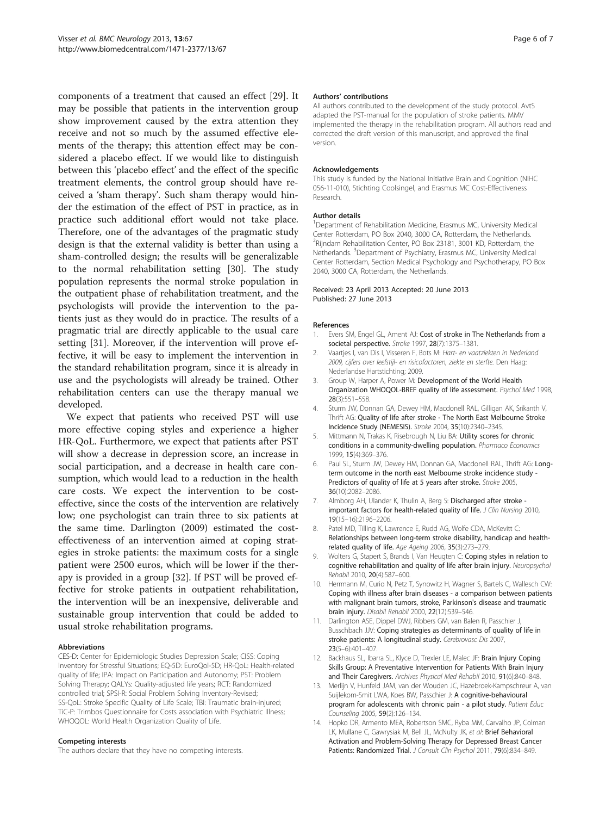<span id="page-5-0"></span>components of a treatment that caused an effect [[29](#page-6-0)]. It may be possible that patients in the intervention group show improvement caused by the extra attention they receive and not so much by the assumed effective elements of the therapy; this attention effect may be considered a placebo effect. If we would like to distinguish between this 'placebo effect' and the effect of the specific treatment elements, the control group should have received a 'sham therapy'. Such sham therapy would hinder the estimation of the effect of PST in practice, as in practice such additional effort would not take place. Therefore, one of the advantages of the pragmatic study design is that the external validity is better than using a sham-controlled design; the results will be generalizable to the normal rehabilitation setting [\[30](#page-6-0)]. The study population represents the normal stroke population in the outpatient phase of rehabilitation treatment, and the psychologists will provide the intervention to the patients just as they would do in practice. The results of a pragmatic trial are directly applicable to the usual care setting [[31\]](#page-6-0). Moreover, if the intervention will prove effective, it will be easy to implement the intervention in the standard rehabilitation program, since it is already in use and the psychologists will already be trained. Other rehabilitation centers can use the therapy manual we developed.

We expect that patients who received PST will use more effective coping styles and experience a higher HR-QoL. Furthermore, we expect that patients after PST will show a decrease in depression score, an increase in social participation, and a decrease in health care consumption, which would lead to a reduction in the health care costs. We expect the intervention to be costeffective, since the costs of the intervention are relatively low; one psychologist can train three to six patients at the same time. Darlington (2009) estimated the costeffectiveness of an intervention aimed at coping strategies in stroke patients: the maximum costs for a single patient were 2500 euros, which will be lower if the therapy is provided in a group [[32\]](#page-6-0). If PST will be proved effective for stroke patients in outpatient rehabilitation, the intervention will be an inexpensive, deliverable and sustainable group intervention that could be added to usual stroke rehabilitation programs.

#### Abbreviations

CES-D: Center for Epidemiologic Studies Depression Scale; CISS: Coping Inventory for Stressful Situations; EQ-5D: EuroQol-5D; HR-QoL: Health-related quality of life; IPA: Impact on Participation and Autonomy; PST: Problem Solving Therapy; QALYs: Quality-adjusted life years; RCT: Randomized controlled trial; SPSI-R: Social Problem Solving Inventory-Revised; SS-QoL: Stroke Specific Quality of Life Scale; TBI: Traumatic brain-injured; TiC-P: Trimbos Questionnaire for Costs association with Psychiatric Illness; WHOQOL: World Health Organization Quality of Life.

#### Competing interests

The authors declare that they have no competing interests.

#### Authors' contributions

All authors contributed to the development of the study protocol. AvtS adapted the PST-manual for the population of stroke patients. MMV implemented the therapy in the rehabilitation program. All authors read and corrected the draft version of this manuscript, and approved the final version.

#### Acknowledgements

This study is funded by the National Initiative Brain and Cognition (NIHC 056-11-010), Stichting Coolsingel, and Erasmus MC Cost-Effectiveness Research.

#### Author details

<sup>1</sup>Department of Rehabilitation Medicine, Erasmus MC, University Medical Center Rotterdam, PO Box 2040, 3000 CA, Rotterdam, the Netherlands. 2 Rijndam Rehabilitation Center, PO Box 23181, 3001 KD, Rotterdam, the Netherlands. <sup>3</sup>Department of Psychiatry, Erasmus MC, University Medical Center Rotterdam, Section Medical Psychology and Psychotherapy, PO Box 2040, 3000 CA, Rotterdam, the Netherlands.

#### Received: 23 April 2013 Accepted: 20 June 2013 Published: 27 June 2013

#### References

- 1. Evers SM, Engel GL, Ament AJ: Cost of stroke in The Netherlands from a societal perspective. Stroke 1997, 28(7):1375–1381.
- 2. Vaartjes I, van Dis I, Visseren F, Bots M: Hart- en vaatziekten in Nederland 2009, cijfers over leefstijl- en risicofactoren, ziekte en sterfte. Den Haag: Nederlandse Hartstichting; 2009.
- 3. Group W, Harper A, Power M: Development of the World Health Organization WHOQOL-BREF quality of life assessment. Psychol Med 1998, 28(3):551–558.
- 4. Sturm JW, Donnan GA, Dewey HM, Macdonell RAL, Gilligan AK, Srikanth V, Thrift AG: Quality of life after stroke - The North East Melbourne Stroke Incidence Study (NEMESIS). Stroke 2004, 35(10):2340–2345.
- 5. Mittmann N, Trakas K, Risebrough N, Liu BA: Utility scores for chronic conditions in a community-dwelling population. Pharmaco Economics 1999, 15(4):369–376.
- 6. Paul SL, Sturm JW, Dewey HM, Donnan GA, Macdonell RAL, Thrift AG: Longterm outcome in the north east Melbourne stroke incidence study - Predictors of quality of life at 5 years after stroke. Stroke 2005, 36(10):2082–2086.
- 7. Almborg AH, Ulander K, Thulin A, Berg S: Discharged after stroke important factors for health-related quality of life. J Clin Nursing 2010, 19(15–16):2196–2206.
- 8. Patel MD, Tilling K, Lawrence E, Rudd AG, Wolfe CDA, McKevitt C: Relationships between long-term stroke disability, handicap and healthrelated quality of life. Age Ageing 2006, 35(3):273–279.
- 9. Wolters G, Stapert S, Brands I, Van Heugten C: Coping styles in relation to cognitive rehabilitation and quality of life after brain injury. Neuropsychol Rehabil 2010, 20(4):587–600.
- 10. Herrmann M, Curio N, Petz T, Synowitz H, Wagner S, Bartels C, Wallesch CW: Coping with illness after brain diseases - a comparison between patients with malignant brain tumors, stroke, Parkinson's disease and traumatic brain injury. Disabil Rehabil 2000, 22(12):539–546.
- 11. Darlington ASE, Dippel DWJ, Ribbers GM, van Balen R, Passchier J, Busschbach JJV: Coping strategies as determinants of quality of life in stroke patients: A longitudinal study. Cerebrovasc Dis 2007, 23(5–6):401–407.
- 12. Backhaus SL, Ibarra SL, Klyce D, Trexler LE, Malec JF: Brain Injury Coping Skills Group: A Preventative Intervention for Patients With Brain Injury and Their Caregivers. Archives Physical Med Rehabil 2010, 91(6):840–848.
- 13. Merlijn V, Hunfeld JAM, van der Wouden JC, Hazebroek-Kampschreur A, van Suijlekom-Smit LWA, Koes BW, Passchier J: A cognitive-behavioural program for adolescents with chronic pain - a pilot study. Patient Educ Counseling 2005, 59(2):126–134.
- 14. Hopko DR, Armento MEA, Robertson SMC, Ryba MM, Carvalho JP, Colman LK, Mullane C, Gawrysiak M, Bell JL, McNulty JK, et al: Brief Behavioral Activation and Problem-Solving Therapy for Depressed Breast Cancer Patients: Randomized Trial. J Consult Clin Psychol 2011, 79(6):834-849.